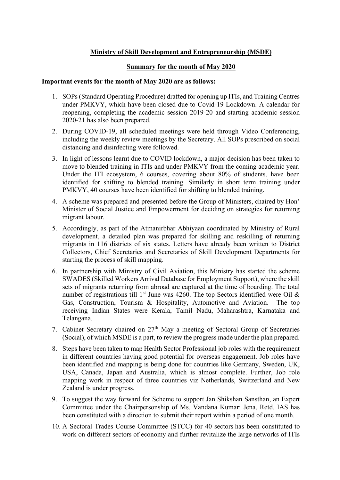### Ministry of Skill Development and Entrepreneurship (MSDE)

#### Summary for the month of May 2020

#### Important events for the month of May 2020 are as follows:

- 1. SOPs (Standard Operating Procedure) drafted for opening up ITIs, and Training Centres under PMKVY, which have been closed due to Covid-19 Lockdown. A calendar for reopening, completing the academic session 2019-20 and starting academic session 2020-21 has also been prepared.
- 2. During COVID-19, all scheduled meetings were held through Video Conferencing, including the weekly review meetings by the Secretary. All SOPs prescribed on social distancing and disinfecting were followed.
- 3. In light of lessons learnt due to COVID lockdown, a major decision has been taken to move to blended training in ITIs and under PMKVY from the coming academic year. Under the ITI ecosystem, 6 courses, covering about 80% of students, have been identified for shifting to blended training. Similarly in short term training under PMKVY, 40 courses have been identified for shifting to blended training.
- 4. A scheme was prepared and presented before the Group of Ministers, chaired by Hon' Minister of Social Justice and Empowerment for deciding on strategies for returning migrant labour.
- 5. Accordingly, as part of the Atmanirbhar Abhiyaan coordinated by Ministry of Rural development, a detailed plan was prepared for skilling and reskilling of returning migrants in 116 districts of six states. Letters have already been written to District Collectors, Chief Secretaries and Secretaries of Skill Development Departments for starting the process of skill mapping.
- 6. In partnership with Ministry of Civil Aviation, this Ministry has started the scheme SWADES (Skilled Workers Arrival Database for Employment Support), where the skill sets of migrants returning from abroad are captured at the time of boarding. The total number of registrations till 1<sup>st</sup> June was 4260. The top Sectors identified were Oil & Gas, Construction, Tourism & Hospitality, Automotive and Aviation. The top receiving Indian States were Kerala, Tamil Nadu, Maharashtra, Karnataka and Telangana.
- 7. Cabinet Secretary chaired on  $27<sup>th</sup>$  May a meeting of Sectoral Group of Secretaries (Social), of which MSDE is a part, to review the progress made under the plan prepared.
- 8. Steps have been taken to map Health Sector Professional job roles with the requirement in different countries having good potential for overseas engagement. Job roles have been identified and mapping is being done for countries like Germany, Sweden, UK, USA, Canada, Japan and Australia, which is almost complete. Further, Job role mapping work in respect of three countries viz Netherlands, Switzerland and New Zealand is under progress.
- 9. To suggest the way forward for Scheme to support Jan Shikshan Sansthan, an Expert Committee under the Chairpersonship of Ms. Vandana Kumari Jena, Retd. IAS has been constituted with a direction to submit their report within a period of one month.
- 10. A Sectoral Trades Course Committee (STCC) for 40 sectors has been constituted to work on different sectors of economy and further revitalize the large networks of ITIs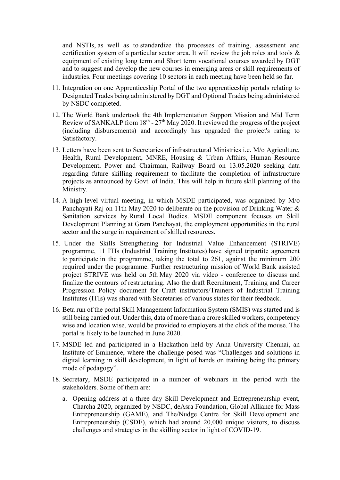and NSTIs, as well as to standardize the processes of training, assessment and certification system of a particular sector area. It will review the job roles and tools & equipment of existing long term and Short term vocational courses awarded by DGT and to suggest and develop the new courses in emerging areas or skill requirements of industries. Four meetings covering 10 sectors in each meeting have been held so far.

- 11. Integration on one Apprenticeship Portal of the two apprenticeship portals relating to Designated Trades being administered by DGT and Optional Trades being administered by NSDC completed.
- 12. The World Bank undertook the 4th Implementation Support Mission and Mid Term Review of SANKALP from  $18<sup>th</sup> - 27<sup>th</sup>$  May 2020. It reviewed the progress of the project (including disbursements) and accordingly has upgraded the project's rating to Satisfactory.
- 13. Letters have been sent to Secretaries of infrastructural Ministries i.e. M/o Agriculture, Health, Rural Development, MNRE, Housing & Urban Affairs, Human Resource Development, Power and Chairman, Railway Board on 13.05.2020 seeking data regarding future skilling requirement to facilitate the completion of infrastructure projects as announced by Govt. of India. This will help in future skill planning of the Ministry.
- 14. A high-level virtual meeting, in which MSDE participated, was organized by M/o Panchayati Raj on 11th May 2020 to deliberate on the provision of Drinking Water & Sanitation services by Rural Local Bodies. MSDE component focuses on Skill Development Planning at Gram Panchayat, the employment opportunities in the rural sector and the surge in requirement of skilled resources.
- 15. Under the Skills Strengthening for Industrial Value Enhancement (STRIVE) programme, 11 ITIs (Industrial Training Institutes) have signed tripartite agreement to participate in the programme, taking the total to 261, against the minimum 200 required under the programme. Further restructuring mission of World Bank assisted project STRIVE was held on 5th May 2020 via video - conference to discuss and finalize the contours of restructuring. Also the draft Recruitment, Training and Career Progression Policy document for Craft instructors/Trainers of Industrial Training Institutes (ITIs) was shared with Secretaries of various states for their feedback.
- 16. Beta run of the portal Skill Management Information System (SMIS) was started and is still being carried out. Under this, data of more than a crore skilled workers, competency wise and location wise, would be provided to employers at the click of the mouse. The portal is likely to be launched in June 2020.
- 17. MSDE led and participated in a Hackathon held by Anna University Chennai, an Institute of Eminence, where the challenge posed was "Challenges and solutions in digital learning in skill development, in light of hands on training being the primary mode of pedagogy".
- 18. Secretary, MSDE participated in a number of webinars in the period with the stakeholders. Some of them are:
	- a. Opening address at a three day Skill Development and Entrepreneurship event, Charcha 2020, organized by NSDC, deAsra Foundation, Global Alliance for Mass Entrepreneurship (GAME), and The/Nudge Centre for Skill Development and Entrepreneurship (CSDE), which had around 20,000 unique visitors, to discuss challenges and strategies in the skilling sector in light of COVID-19.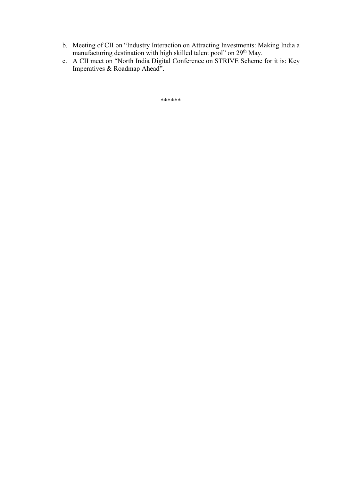- b. Meeting of CII on "Industry Interaction on Attracting Investments: Making India a manufacturing destination with high skilled talent pool" on 29<sup>th</sup> May.
- c. A CII meet on "North India Digital Conference on STRIVE Scheme for it is: Key Imperatives & Roadmap Ahead".

```
******
```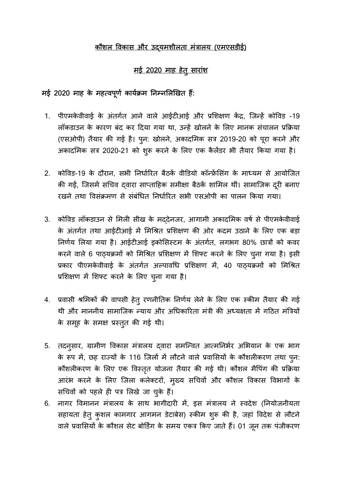## <u>कौशल विकास और उदयमशीलता मंत्रालय (एमएसडीई)</u>

# मई 2020 माह हेतु साराशं

# मई 2020 माह के महत्वपूर्ण कार्यक्रम निम्नलिखित हैं:

- 1. पीएमकेवीवाई के अंतर्गत आने वाले आईटीआई और प्रशिक्षण केंद्र, जिन्हें कोविड -19 लॉकडाउन के कारण बंद कर दिया गया था, उन्हें खोलने के लिए मानक संचालन प्रक्रिया (एसओपी) तैयार की गई है। पून: खोलने, अकादमिक सत्र 2019-20 को पूरा करने और अकादमिक सत्र 2020-21 को शुरू करने के लिए एक कैलेंडर भी तैयार किया गया है।
- 2. कोविड-19 के दौरान, सभी निर्धारित बैठकें वीडियो कॉन्फ्रेंसिंग के माध्यम से आयोजित की गई, जिसमें सचिव दवारा साप्ताहिक समीक्षा बैठकें शामिल थीं। सामाजिक दूरी बनाए रखने तथा विसंक्रमण से संबंधित निर्धारित सभी एसओपी का पालन किया गया।
- 3. कोविड लॉकडाउन से मिली सीख के मद्देनजर, आगामी अकादमिक वर्ष से पीएमकेवीवाई के अंतर्गत तथा आईटीआई में मिश्रित प्रशिक्षण की ओर कदम उठाने के लिए एक बड़ा निर्णय लिया गया है। आईटीआई इकोसिस्टम के अंतर्गत, लगभग 80% छात्रों को कवर करने वाले 6 पाठ्यक्रमों को मिश्रित प्रशिक्षण में शिफ्ट करने के लिए चुना गया है। इसी प्रकार पीएमकेवीवाई के अंतर्गत अल्पावधि प्रशिक्षण में, 40 पाठयक्रमों को मिश्रित प्रशिक्षण में शिफ्ट करने के लिए चुना गया है।
- 4. प्रवासी श्रमिकों की वापसी हेतु रणनीतिक निर्णय लेने के लिए एक स्कीम तैयार की गई थी और माननीय सामाजिक न्याय और अधिकारिता मंत्री की अध्यक्षता में गठित मंत्रियों के समूह के समक्ष प्रस्तुत की गई थी।
- 5. तदनूसार, ग्रामीण विकास मंत्रालय दवारा समन्वित आत्मनिर्भर अभियान के एक भाग के रूप में, छह राज्यों के 116 जिलों में लौटने वाले प्रवासियों के कौशलीकरण तथा पुन: कौशलीकरण के लिए एक विस्तृत योजना तैयार की गई थी। कौशल मैपिंग की प्रक्रिया आरंभ करने के लिए जिला कलेक्टरों, मुख्य सचिवों और कौशल विकास विभागों के सचिवों को पहले ही पत्र लिखे जा चुके हैं।
- 6. नागर विमानन मंत्रालय के साथ भागीदारी में, इस मंत्रालय ने स्वदेश (नियोजनीयता सहायता हेतु कुशल कामगार आगमन डेटाबेस) स्कीम शुरू की है, जहां विदेश से लौटने वाले प्रवासियों के कौशल सेट बोर्डिंग के समय एकत्र किए जाते हैं। 01 जून तक पंजीकरण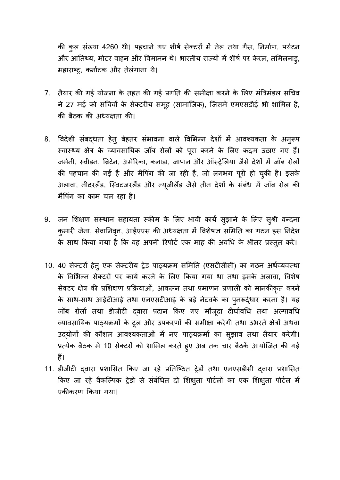की कुल संख्या 4260 थी। पहचाने गए शीर्ष सेक्टरों में तेल तथा गैस, निर्माण, पर्यटन और आतिथ्य, मोटर वाहन और विमानन थे। भारतीय राज्यों में शीर्ष पर केरल, तमिलनाडु, महाराष्ट्र, कर्नाटक और तेलंगाना थे।

- 7. तैयार की गई योजना के तहत की गई प्रगति की समीक्षा करने के लिए मंत्रिमंडल सचिव ने 27 मई को सचिवों के सेक्टरीय समूह (सामाजिक), जिसमें एमएसडीई भी शामिल है, की बैठक की अध्यक्षता की।
- 8. विदेशी संबद्धता हेत् बेहतर संभावना वाले विभिन्न देशों में आवश्यकता के अनुरूप स्वास्थ्य क्षेत्र के व्यावसायिक जॉब रोलों को पूरा करने के लिए कदम उठाए गए हैं। जर्मनी, स्वीडन, ब्रिटेन, अमेरिका, कनाडा, जापान और ऑस्ट्रेलिया जैसे देशों में जॉब रोलों की पहचान की गई है और मैपिंग की जा रही है, जो लगभग पूरी हो चुकी है। इसके अलावा, नीदरलैंड, स्विटजरलैंड और न्यूजीलैंड जैसे तीन देशों के संबंध में जॉब रोल की मैपिंग का काम चल रहा है।
- 9. जन शिक्षण संस्थान सहायता स्कीम के लिए भावी कार्य सुझाने के लिए सुश्री वन्दना कुमारी जेना, सेवानिवृत्त, आईएएस की अध्यक्षता में विशेषज्ञ समिति का गठन इस निदेश के साथ किया गया है कि वह अपनी रिपोर्ट एक माह की अवधि के भीतर प्रस्तुत करे।
- 10. 40 सेक्टरों हेतु एक सेक्टरीय ट्रेड पाठ्यक्रम समिति (एसटीसीसी) का गठन अर्थव्यवस्था के विभिन्न सेक्टरों पर कार्य करने के लिए किया गया था तथा इसके अलावा, विशेष सेक्टर क्षेत्र की प्रशिक्षण प्रक्रियाओं, आकलन तथा प्रमाणन प्रणाली को मानकीकृत करने के साथ-साथ आईटीआई तथा एनएसटीआई के बड़े नेटवर्क का पुनरूर्द्धार करना है। यह जॉब रोलों तथा डीजीटी दवारा प्रदान किए गए मौजूदा दीर्घावधि तथा अल्पावधि åयावसाǓयक पाɫयĐमɉ के टूल और उपकरणɉ कȧ समी¢ा करेगी तथा उभरते ¢ेğɉ अथवा उद्योगों की कौशल आवश्यकताओं में नए पाठ्यक्रमों का सुझाव तथा तैयार करेगी। प्रत्येक बैठक में 10 सेक्टरों को शामिल करते हुए अब तक चार बैठकें आयोजित की गई हैं।
- 11. डीजीटी दवारा प्रशासित किए जा रहे प्रतिष्ठित ट्रेडों तथा एनएसडीसी द्वारा प्रशासित किए जा रहे वैकल्पिक ट्रेडों से संबंधित दो शिक्षुता पोर्टलों का एक शिक्षुता पोर्टल में एकीकरण किया गया।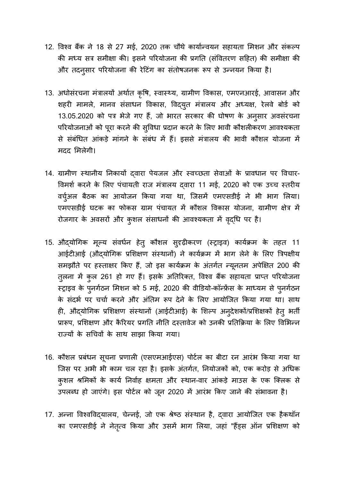- 12. विश्व बैंक ने 18 से 27 मई, 2020 तक चौथे कार्यान्वयन सहायता मिशन और संकल्प की मध्य सत्र समीक्षा की। इसने परियोजना की प्रगति (संवितरण सहित) की समीक्षा की और तदनुसार परियोजना की रेटिंग का संतोषजनक रूप से उन्नयन किया है।
- 13. अधोसंरचना मंत्रालयों अर्थात कृषि, स्वास्थ्य, ग्रामीण विकास, एमएनआरई, आवासन और शहरी मामले, मानव संसाधन विकास, विद्युत मंत्रालय और अध्यक्ष, रेलवे बोर्ड को 13.05.2020 को पत्र भेजे गए हैं, जो भारत सरकार की घोषण के अनुसार अवसंरचना परियोजनाओं को पूरा करने की सुविधा प्रदान करने के लिए भावी कौशलीकरण आवश्यकता से संबंधित आंकड़े मांगने के संबंध में हैं। इससे मंत्रालय की भावी कौशल योजना में मदद ͧमलेगी।
- 14. ग्रामीण स्थानीय निकायों दवारा पेयजल और स्वच्छता सेवाओं के प्रावधान पर विचार-विमर्श करने के लिए पंचायती राज मंत्रालय दवारा 11 मई, 2020 को एक उच्च स्तरीय वर्च्अल बैठक का आयोजन किया गया था, जिसमें एमएसडीई ने भी भाग लिया। एमएसडीई घटक का फोकस ग्राम पंचायत में कौशल विकास योजना, ग्रामीण क्षेत्र में रोजगार के अवसरों और कुशल संसाधनों की आवश्यकता में वृद्धि पर है।
- 15. औद्योगिक मूल्य संवर्धन हेत् कौशल स्*रद्दीकरण (स्ट्राइव) कार्यक्रम के तहत* 11 आईटीआई (औद्योगिक प्रशिक्षण संस्थानों) ने कार्यक्रम में भाग लेने के लिए त्रिपक्षीय समझौते पर हस्ताक्षर किए हैं, जो इस कार्यक्रम के अंतर्गत न्यूनतम अपेक्षित 200 की तुलना में कुल 261 हो गए हैं। इसके अतिरिक्त, विश्व बैंक सहायता प्राप्त परियोजना स्ट्राइव के पुनर्गठन मिशन को 5 मई, 2020 की वीडियो-कॉन्फ्रेंस के माध्यम से पुनर्गठन के संदर्भ पर चर्चा करने और अंतिम रूप देने के लिए आयोजित किया गया था। साथ ही, औद्योगिक प्रशिक्षण संस्थानों (आईटीआई) के शिल्प अनुदेशकों/प्रशिक्षकों हेतु भर्ती प्रारूप, प्रशिक्षण और कैरियर प्रगति नीति दस्तावेज को उनकी प्रतिक्रिया के लिए विभिन्न राज्यों के सचिवों के साथ साझा किया गया।
- 16. कौशल प्रबंधन सूचना प्रणाली (एसएमआईएस) पोर्टल का बीटा रन आरंभ किया गया था जिस पर अभी भी काम चल रहा है। इसके अंतर्गत, नियोजकों को, एक करोड़ से अधिक कुशल श्रमिकों के कार्य निर्वाह क्षमता और स्थान-वार आंकड़े माउस के एक क्लिक से उपलब्ध हो जाएंगे। इस पोर्टल को जून 2020 में आरंभ किए जाने की संभावना है।
- 17. अन्ना विश्वविद्यालय, चेन्नई, जो एक श्रेष्ठ संस्थान है, दवारा आयोजित एक हैकथॉन का एमएसडीई ने नेतृत्व किया और उसमें भाग लिया, जहां "हैंड्स ऑन प्रशिक्षण को